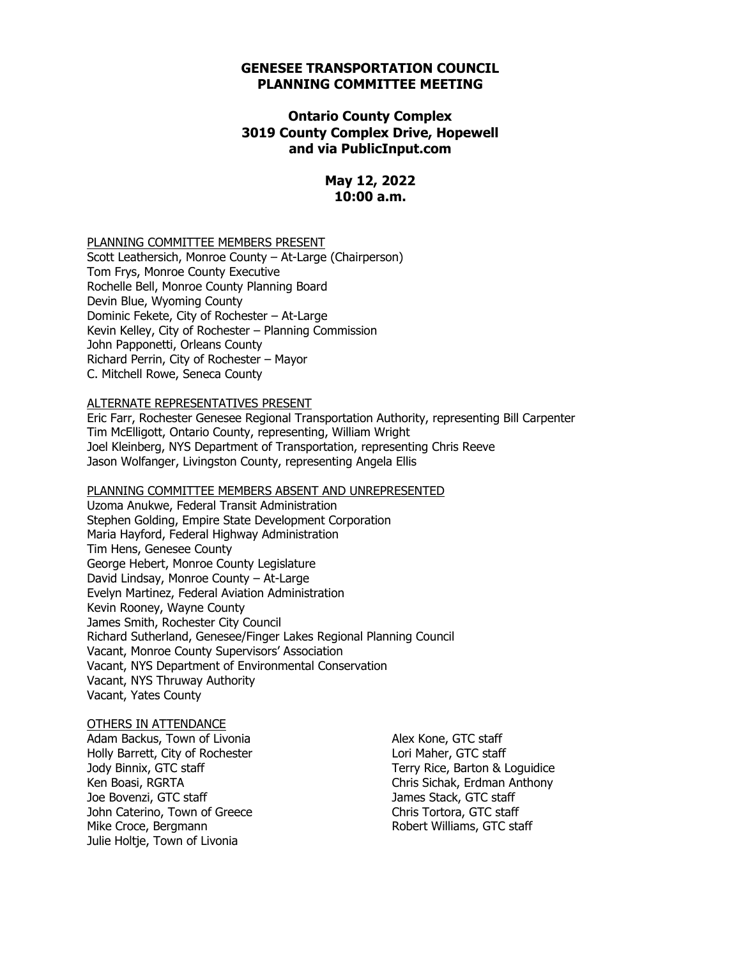#### **GENESEE TRANSPORTATION COUNCIL PLANNING COMMITTEE MEETING**

#### **Ontario County Complex 3019 County Complex Drive, Hopewell and via PublicInput.com**

#### **May 12, 2022 10:00 a.m.**

PLANNING COMMITTEE MEMBERS PRESENT

Scott Leathersich, Monroe County – At-Large (Chairperson) Tom Frys, Monroe County Executive Rochelle Bell, Monroe County Planning Board Devin Blue, Wyoming County Dominic Fekete, City of Rochester – At-Large Kevin Kelley, City of Rochester – Planning Commission John Papponetti, Orleans County Richard Perrin, City of Rochester – Mayor C. Mitchell Rowe, Seneca County

#### ALTERNATE REPRESENTATIVES PRESENT

Eric Farr, Rochester Genesee Regional Transportation Authority, representing Bill Carpenter Tim McElligott, Ontario County, representing, William Wright Joel Kleinberg, NYS Department of Transportation, representing Chris Reeve Jason Wolfanger, Livingston County, representing Angela Ellis

#### PLANNING COMMITTEE MEMBERS ABSENT AND UNREPRESENTED

Uzoma Anukwe, Federal Transit Administration Stephen Golding, Empire State Development Corporation Maria Hayford, Federal Highway Administration Tim Hens, Genesee County George Hebert, Monroe County Legislature David Lindsay, Monroe County – At-Large Evelyn Martinez, Federal Aviation Administration Kevin Rooney, Wayne County James Smith, Rochester City Council Richard Sutherland, Genesee/Finger Lakes Regional Planning Council Vacant, Monroe County Supervisors' Association Vacant, NYS Department of Environmental Conservation Vacant, NYS Thruway Authority Vacant, Yates County

#### OTHERS IN ATTENDANCE

Adam Backus, Town of Livonia Holly Barrett, City of Rochester Jody Binnix, GTC staff Ken Boasi, RGRTA Joe Bovenzi, GTC staff John Caterino, Town of Greece Mike Croce, Bergmann Julie Holtje, Town of Livonia

Alex Kone, GTC staff Lori Maher, GTC staff Terry Rice, Barton & Loguidice Chris Sichak, Erdman Anthony James Stack, GTC staff Chris Tortora, GTC staff Robert Williams, GTC staff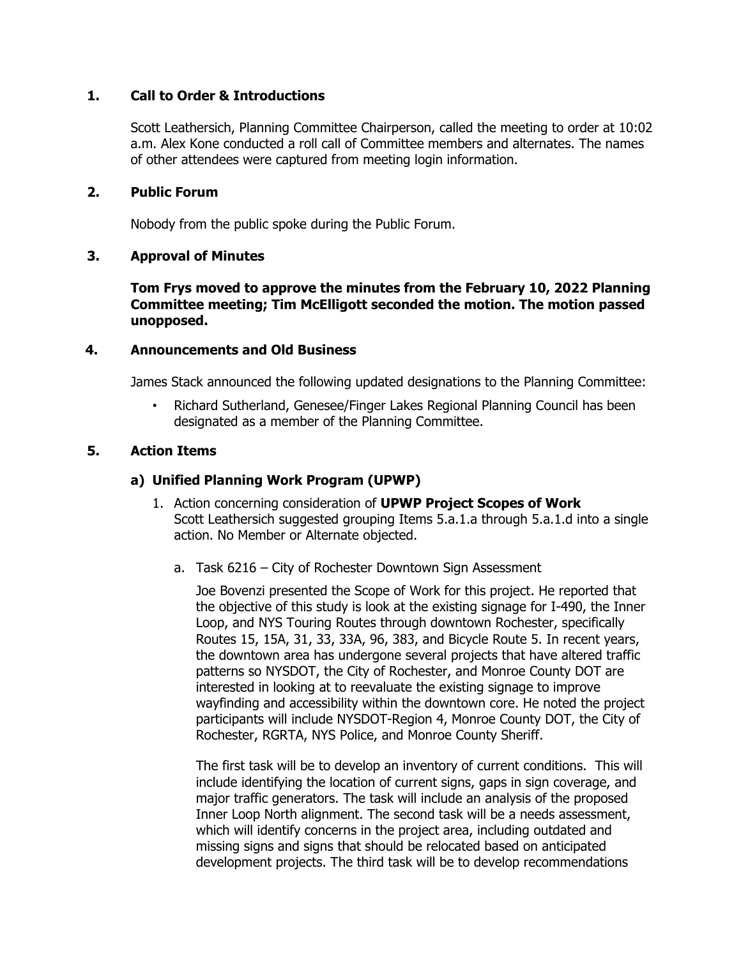### **1. Call to Order & Introductions**

Scott Leathersich, Planning Committee Chairperson, called the meeting to order at 10:02 a.m. Alex Kone conducted a roll call of Committee members and alternates. The names of other attendees were captured from meeting login information.

#### **2. Public Forum**

Nobody from the public spoke during the Public Forum.

## **3. Approval of Minutes**

**Tom Frys moved to approve the minutes from the February 10, 2022 Planning Committee meeting; Tim McElligott seconded the motion. The motion passed unopposed.** 

#### **4. Announcements and Old Business**

James Stack announced the following updated designations to the Planning Committee:

• Richard Sutherland, Genesee/Finger Lakes Regional Planning Council has been designated as a member of the Planning Committee.

## **5. Action Items**

## **a) Unified Planning Work Program (UPWP)**

- 1. Action concerning consideration of **UPWP Project Scopes of Work** Scott Leathersich suggested grouping Items 5.a.1.a through 5.a.1.d into a single action. No Member or Alternate objected.
	- a. Task 6216 City of Rochester Downtown Sign Assessment

Joe Bovenzi presented the Scope of Work for this project. He reported that the objective of this study is look at the existing signage for I-490, the Inner Loop, and NYS Touring Routes through downtown Rochester, specifically Routes 15, 15A, 31, 33, 33A, 96, 383, and Bicycle Route 5. In recent years, the downtown area has undergone several projects that have altered traffic patterns so NYSDOT, the City of Rochester, and Monroe County DOT are interested in looking at to reevaluate the existing signage to improve wayfinding and accessibility within the downtown core. He noted the project participants will include NYSDOT-Region 4, Monroe County DOT, the City of Rochester, RGRTA, NYS Police, and Monroe County Sheriff.

The first task will be to develop an inventory of current conditions. This will include identifying the location of current signs, gaps in sign coverage, and major traffic generators. The task will include an analysis of the proposed Inner Loop North alignment. The second task will be a needs assessment, which will identify concerns in the project area, including outdated and missing signs and signs that should be relocated based on anticipated development projects. The third task will be to develop recommendations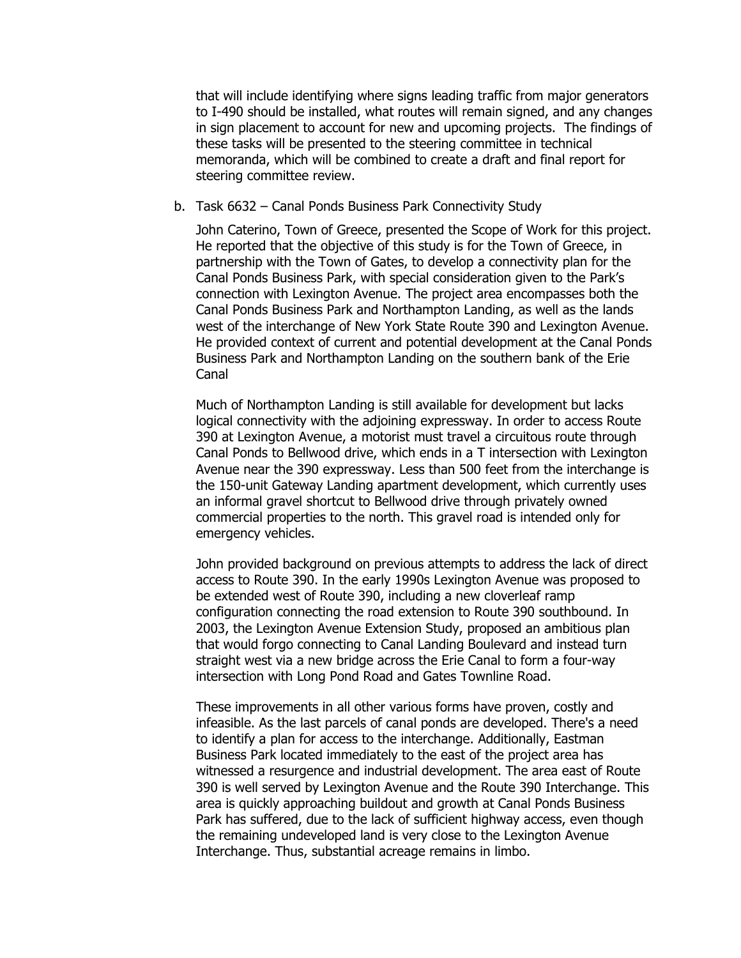that will include identifying where signs leading traffic from major generators to I-490 should be installed, what routes will remain signed, and any changes in sign placement to account for new and upcoming projects. The findings of these tasks will be presented to the steering committee in technical memoranda, which will be combined to create a draft and final report for steering committee review.

#### b. Task 6632 – Canal Ponds Business Park Connectivity Study

John Caterino, Town of Greece, presented the Scope of Work for this project. He reported that the objective of this study is for the Town of Greece, in partnership with the Town of Gates, to develop a connectivity plan for the Canal Ponds Business Park, with special consideration given to the Park's connection with Lexington Avenue. The project area encompasses both the Canal Ponds Business Park and Northampton Landing, as well as the lands west of the interchange of New York State Route 390 and Lexington Avenue. He provided context of current and potential development at the Canal Ponds Business Park and Northampton Landing on the southern bank of the Erie Canal

Much of Northampton Landing is still available for development but lacks logical connectivity with the adjoining expressway. In order to access Route 390 at Lexington Avenue, a motorist must travel a circuitous route through Canal Ponds to Bellwood drive, which ends in a T intersection with Lexington Avenue near the 390 expressway. Less than 500 feet from the interchange is the 150-unit Gateway Landing apartment development, which currently uses an informal gravel shortcut to Bellwood drive through privately owned commercial properties to the north. This gravel road is intended only for emergency vehicles.

John provided background on previous attempts to address the lack of direct access to Route 390. In the early 1990s Lexington Avenue was proposed to be extended west of Route 390, including a new cloverleaf ramp configuration connecting the road extension to Route 390 southbound. In 2003, the Lexington Avenue Extension Study, proposed an ambitious plan that would forgo connecting to Canal Landing Boulevard and instead turn straight west via a new bridge across the Erie Canal to form a four-way intersection with Long Pond Road and Gates Townline Road.

These improvements in all other various forms have proven, costly and infeasible. As the last parcels of canal ponds are developed. There's a need to identify a plan for access to the interchange. Additionally, Eastman Business Park located immediately to the east of the project area has witnessed a resurgence and industrial development. The area east of Route 390 is well served by Lexington Avenue and the Route 390 Interchange. This area is quickly approaching buildout and growth at Canal Ponds Business Park has suffered, due to the lack of sufficient highway access, even though the remaining undeveloped land is very close to the Lexington Avenue Interchange. Thus, substantial acreage remains in limbo.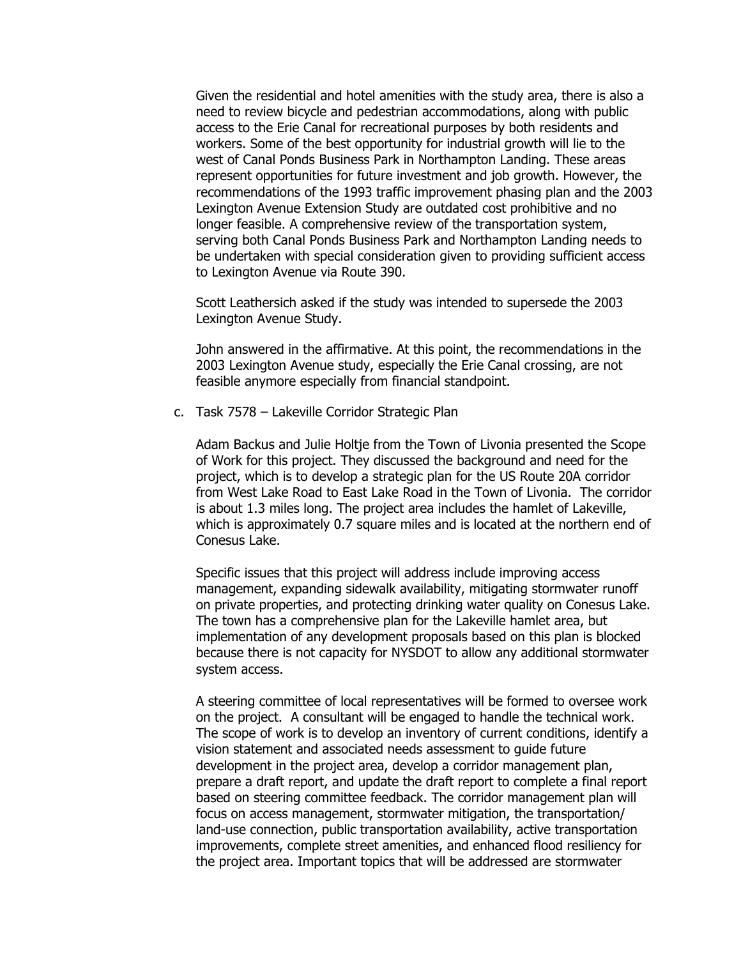Given the residential and hotel amenities with the study area, there is also a need to review bicycle and pedestrian accommodations, along with public access to the Erie Canal for recreational purposes by both residents and workers. Some of the best opportunity for industrial growth will lie to the west of Canal Ponds Business Park in Northampton Landing. These areas represent opportunities for future investment and job growth. However, the recommendations of the 1993 traffic improvement phasing plan and the 2003 Lexington Avenue Extension Study are outdated cost prohibitive and no longer feasible. A comprehensive review of the transportation system, serving both Canal Ponds Business Park and Northampton Landing needs to be undertaken with special consideration given to providing sufficient access to Lexington Avenue via Route 390.

Scott Leathersich asked if the study was intended to supersede the 2003 Lexington Avenue Study.

John answered in the affirmative. At this point, the recommendations in the 2003 Lexington Avenue study, especially the Erie Canal crossing, are not feasible anymore especially from financial standpoint.

c. Task 7578 – Lakeville Corridor Strategic Plan

Adam Backus and Julie Holtje from the Town of Livonia presented the Scope of Work for this project. They discussed the background and need for the project, which is to develop a strategic plan for the US Route 20A corridor from West Lake Road to East Lake Road in the Town of Livonia. The corridor is about 1.3 miles long. The project area includes the hamlet of Lakeville, which is approximately 0.7 square miles and is located at the northern end of Conesus Lake.

Specific issues that this project will address include improving access management, expanding sidewalk availability, mitigating stormwater runoff on private properties, and protecting drinking water quality on Conesus Lake. The town has a comprehensive plan for the Lakeville hamlet area, but implementation of any development proposals based on this plan is blocked because there is not capacity for NYSDOT to allow any additional stormwater system access.

A steering committee of local representatives will be formed to oversee work on the project. A consultant will be engaged to handle the technical work. The scope of work is to develop an inventory of current conditions, identify a vision statement and associated needs assessment to guide future development in the project area, develop a corridor management plan, prepare a draft report, and update the draft report to complete a final report based on steering committee feedback. The corridor management plan will focus on access management, stormwater mitigation, the transportation/ land-use connection, public transportation availability, active transportation improvements, complete street amenities, and enhanced flood resiliency for the project area. Important topics that will be addressed are stormwater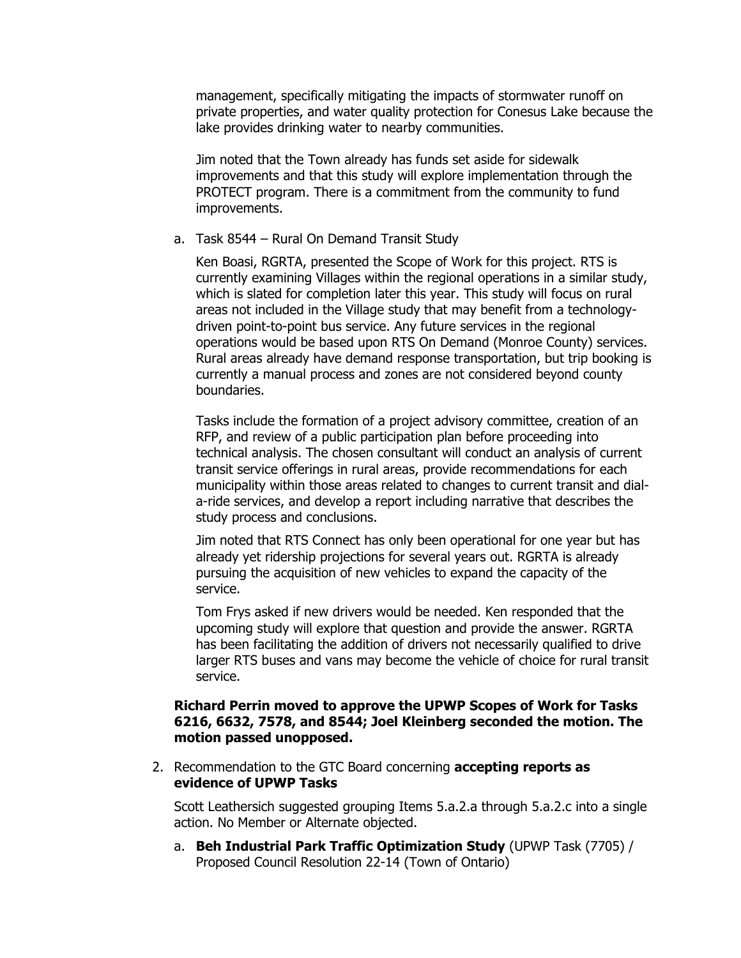management, specifically mitigating the impacts of stormwater runoff on private properties, and water quality protection for Conesus Lake because the lake provides drinking water to nearby communities.

Jim noted that the Town already has funds set aside for sidewalk improvements and that this study will explore implementation through the PROTECT program. There is a commitment from the community to fund improvements.

#### a. Task 8544 – Rural On Demand Transit Study

Ken Boasi, RGRTA, presented the Scope of Work for this project. RTS is currently examining Villages within the regional operations in a similar study, which is slated for completion later this year. This study will focus on rural areas not included in the Village study that may benefit from a technologydriven point-to-point bus service. Any future services in the regional operations would be based upon RTS On Demand (Monroe County) services. Rural areas already have demand response transportation, but trip booking is currently a manual process and zones are not considered beyond county boundaries.

Tasks include the formation of a project advisory committee, creation of an RFP, and review of a public participation plan before proceeding into technical analysis. The chosen consultant will conduct an analysis of current transit service offerings in rural areas, provide recommendations for each municipality within those areas related to changes to current transit and diala-ride services, and develop a report including narrative that describes the study process and conclusions.

Jim noted that RTS Connect has only been operational for one year but has already yet ridership projections for several years out. RGRTA is already pursuing the acquisition of new vehicles to expand the capacity of the service.

Tom Frys asked if new drivers would be needed. Ken responded that the upcoming study will explore that question and provide the answer. RGRTA has been facilitating the addition of drivers not necessarily qualified to drive larger RTS buses and vans may become the vehicle of choice for rural transit service.

### **Richard Perrin moved to approve the UPWP Scopes of Work for Tasks 6216, 6632, 7578, and 8544; Joel Kleinberg seconded the motion. The motion passed unopposed.**

2. Recommendation to the GTC Board concerning **accepting reports as evidence of UPWP Tasks**

Scott Leathersich suggested grouping Items 5.a.2.a through 5.a.2.c into a single action. No Member or Alternate objected.

a. **Beh Industrial Park Traffic Optimization Study** (UPWP Task (7705) / Proposed Council Resolution 22-14 (Town of Ontario)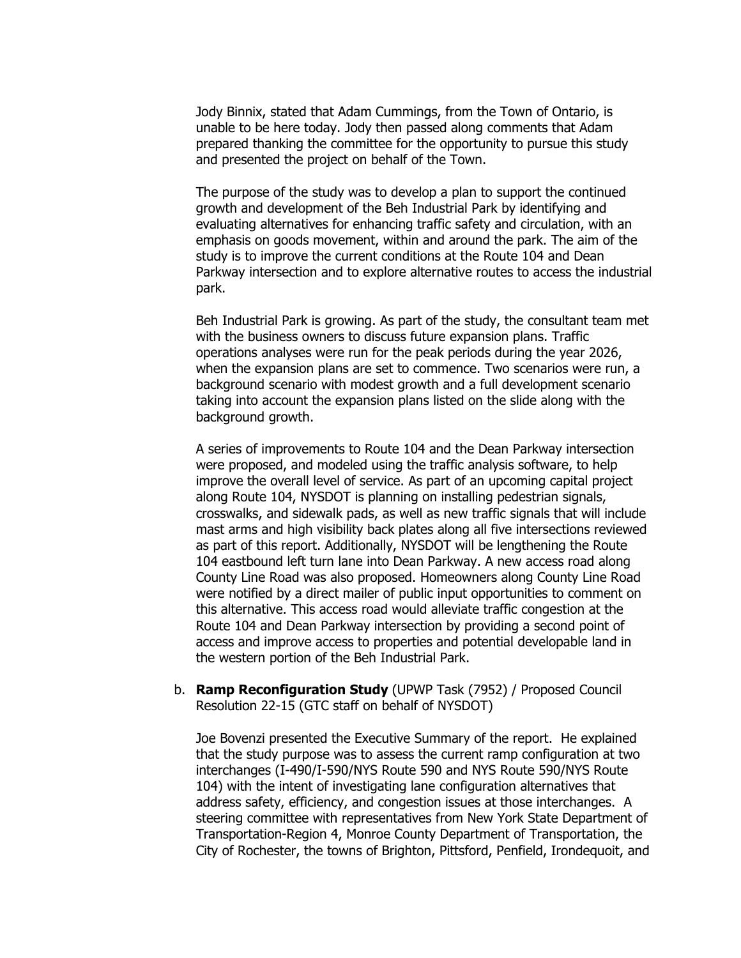Jody Binnix, stated that Adam Cummings, from the Town of Ontario, is unable to be here today. Jody then passed along comments that Adam prepared thanking the committee for the opportunity to pursue this study and presented the project on behalf of the Town.

The purpose of the study was to develop a plan to support the continued growth and development of the Beh Industrial Park by identifying and evaluating alternatives for enhancing traffic safety and circulation, with an emphasis on goods movement, within and around the park. The aim of the study is to improve the current conditions at the Route 104 and Dean Parkway intersection and to explore alternative routes to access the industrial park.

Beh Industrial Park is growing. As part of the study, the consultant team met with the business owners to discuss future expansion plans. Traffic operations analyses were run for the peak periods during the year 2026, when the expansion plans are set to commence. Two scenarios were run, a background scenario with modest growth and a full development scenario taking into account the expansion plans listed on the slide along with the background growth.

A series of improvements to Route 104 and the Dean Parkway intersection were proposed, and modeled using the traffic analysis software, to help improve the overall level of service. As part of an upcoming capital project along Route 104, NYSDOT is planning on installing pedestrian signals, crosswalks, and sidewalk pads, as well as new traffic signals that will include mast arms and high visibility back plates along all five intersections reviewed as part of this report. Additionally, NYSDOT will be lengthening the Route 104 eastbound left turn lane into Dean Parkway. A new access road along County Line Road was also proposed. Homeowners along County Line Road were notified by a direct mailer of public input opportunities to comment on this alternative. This access road would alleviate traffic congestion at the Route 104 and Dean Parkway intersection by providing a second point of access and improve access to properties and potential developable land in the western portion of the Beh Industrial Park.

b. **Ramp Reconfiguration Study** (UPWP Task (7952) / Proposed Council Resolution 22-15 (GTC staff on behalf of NYSDOT)

Joe Bovenzi presented the Executive Summary of the report. He explained that the study purpose was to assess the current ramp configuration at two interchanges (I-490/I-590/NYS Route 590 and NYS Route 590/NYS Route 104) with the intent of investigating lane configuration alternatives that address safety, efficiency, and congestion issues at those interchanges. A steering committee with representatives from New York State Department of Transportation-Region 4, Monroe County Department of Transportation, the City of Rochester, the towns of Brighton, Pittsford, Penfield, Irondequoit, and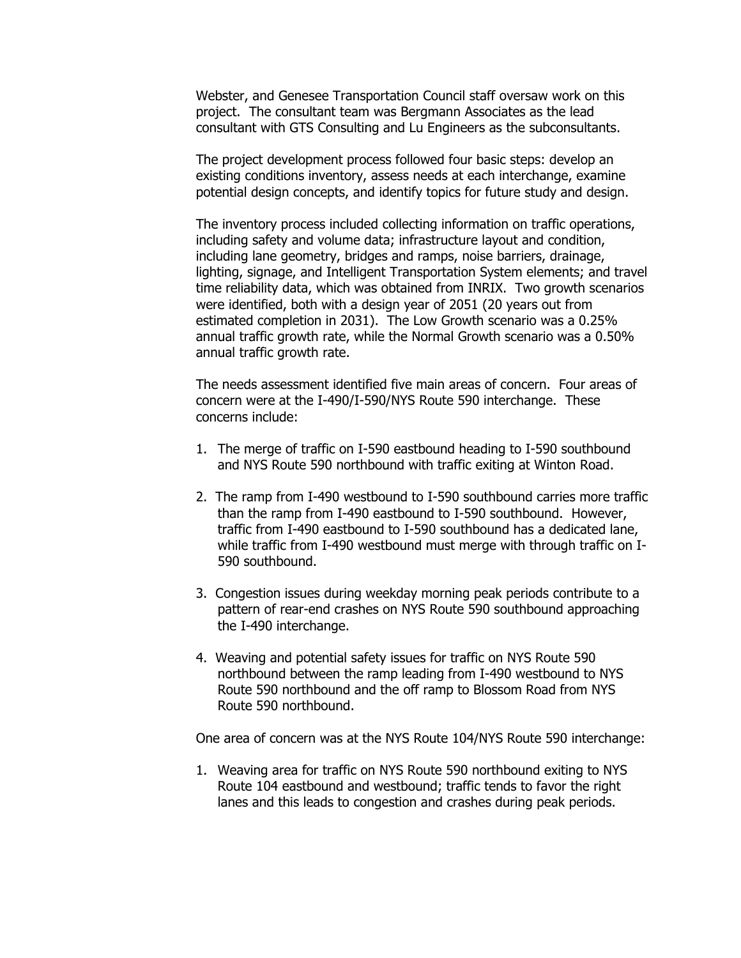Webster, and Genesee Transportation Council staff oversaw work on this project. The consultant team was Bergmann Associates as the lead consultant with GTS Consulting and Lu Engineers as the subconsultants.

The project development process followed four basic steps: develop an existing conditions inventory, assess needs at each interchange, examine potential design concepts, and identify topics for future study and design.

The inventory process included collecting information on traffic operations, including safety and volume data; infrastructure layout and condition, including lane geometry, bridges and ramps, noise barriers, drainage, lighting, signage, and Intelligent Transportation System elements; and travel time reliability data, which was obtained from INRIX. Two growth scenarios were identified, both with a design year of 2051 (20 years out from estimated completion in 2031). The Low Growth scenario was a 0.25% annual traffic growth rate, while the Normal Growth scenario was a 0.50% annual traffic growth rate.

The needs assessment identified five main areas of concern. Four areas of concern were at the I-490/I-590/NYS Route 590 interchange. These concerns include:

- 1. The merge of traffic on I-590 eastbound heading to I-590 southbound and NYS Route 590 northbound with traffic exiting at Winton Road.
- 2. The ramp from I-490 westbound to I-590 southbound carries more traffic than the ramp from I-490 eastbound to I-590 southbound. However, traffic from I-490 eastbound to I-590 southbound has a dedicated lane, while traffic from I-490 westbound must merge with through traffic on I-590 southbound.
- 3. Congestion issues during weekday morning peak periods contribute to a pattern of rear-end crashes on NYS Route 590 southbound approaching the I-490 interchange.
- 4. Weaving and potential safety issues for traffic on NYS Route 590 northbound between the ramp leading from I-490 westbound to NYS Route 590 northbound and the off ramp to Blossom Road from NYS Route 590 northbound.

One area of concern was at the NYS Route 104/NYS Route 590 interchange:

1. Weaving area for traffic on NYS Route 590 northbound exiting to NYS Route 104 eastbound and westbound; traffic tends to favor the right lanes and this leads to congestion and crashes during peak periods.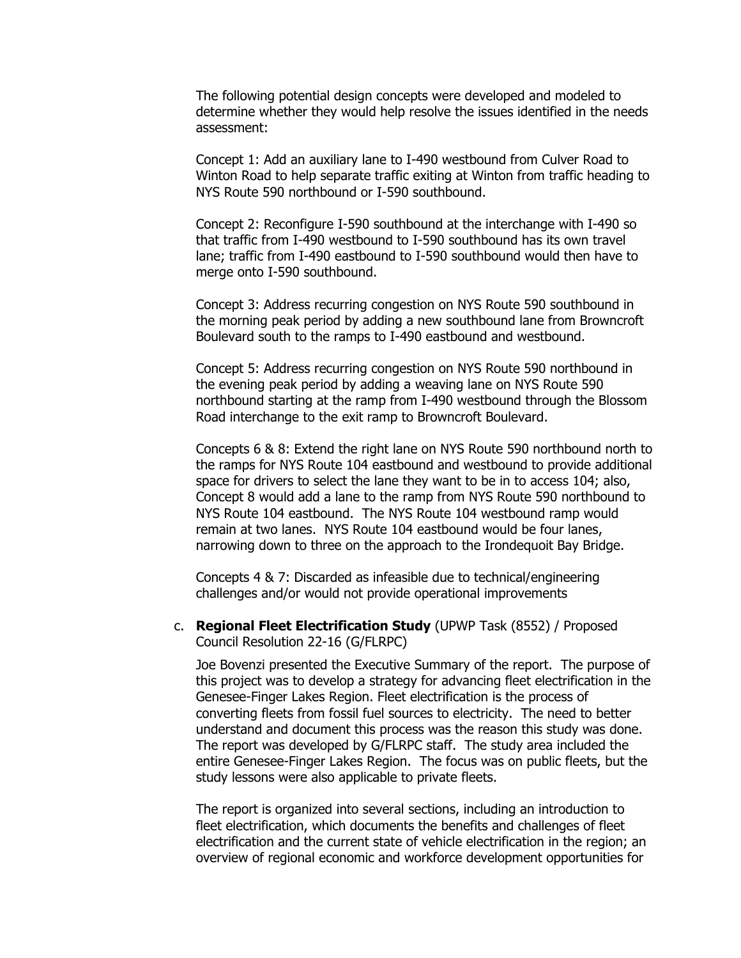The following potential design concepts were developed and modeled to determine whether they would help resolve the issues identified in the needs assessment:

Concept 1: Add an auxiliary lane to I-490 westbound from Culver Road to Winton Road to help separate traffic exiting at Winton from traffic heading to NYS Route 590 northbound or I-590 southbound.

Concept 2: Reconfigure I-590 southbound at the interchange with I-490 so that traffic from I-490 westbound to I-590 southbound has its own travel lane; traffic from I-490 eastbound to I-590 southbound would then have to merge onto I-590 southbound.

Concept 3: Address recurring congestion on NYS Route 590 southbound in the morning peak period by adding a new southbound lane from Browncroft Boulevard south to the ramps to I-490 eastbound and westbound.

Concept 5: Address recurring congestion on NYS Route 590 northbound in the evening peak period by adding a weaving lane on NYS Route 590 northbound starting at the ramp from I-490 westbound through the Blossom Road interchange to the exit ramp to Browncroft Boulevard.

Concepts 6 & 8: Extend the right lane on NYS Route 590 northbound north to the ramps for NYS Route 104 eastbound and westbound to provide additional space for drivers to select the lane they want to be in to access 104; also, Concept 8 would add a lane to the ramp from NYS Route 590 northbound to NYS Route 104 eastbound. The NYS Route 104 westbound ramp would remain at two lanes. NYS Route 104 eastbound would be four lanes, narrowing down to three on the approach to the Irondequoit Bay Bridge.

Concepts 4 & 7: Discarded as infeasible due to technical/engineering challenges and/or would not provide operational improvements

c. **Regional Fleet Electrification Study** (UPWP Task (8552) / Proposed Council Resolution 22-16 (G/FLRPC)

Joe Bovenzi presented the Executive Summary of the report. The purpose of this project was to develop a strategy for advancing fleet electrification in the Genesee-Finger Lakes Region. Fleet electrification is the process of converting fleets from fossil fuel sources to electricity. The need to better understand and document this process was the reason this study was done. The report was developed by G/FLRPC staff. The study area included the entire Genesee-Finger Lakes Region. The focus was on public fleets, but the study lessons were also applicable to private fleets.

The report is organized into several sections, including an introduction to fleet electrification, which documents the benefits and challenges of fleet electrification and the current state of vehicle electrification in the region; an overview of regional economic and workforce development opportunities for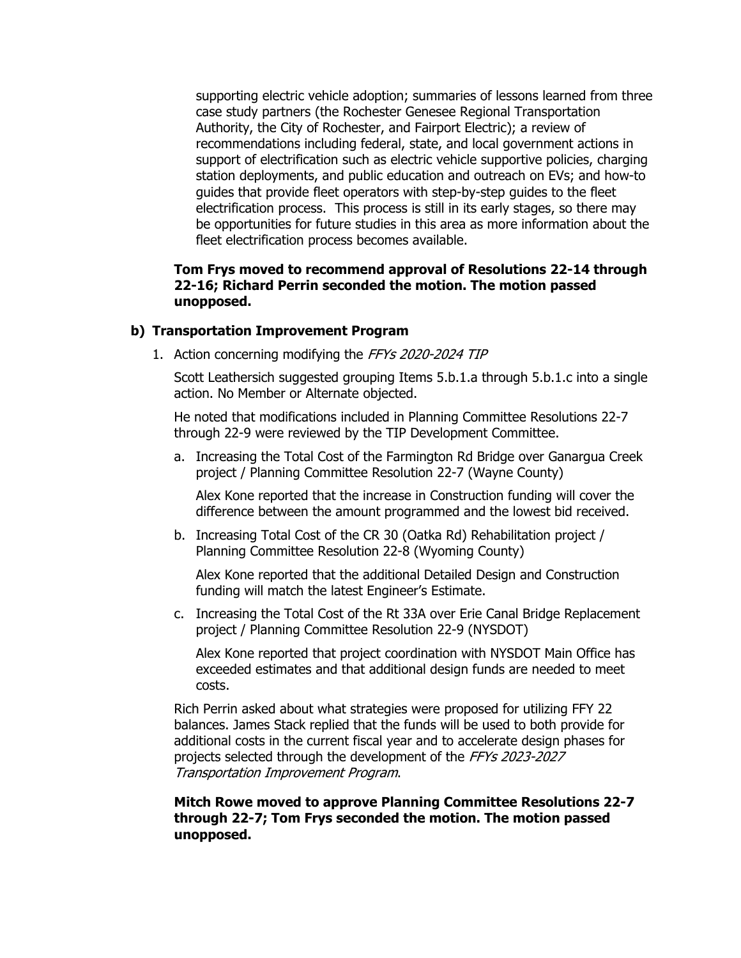supporting electric vehicle adoption; summaries of lessons learned from three case study partners (the Rochester Genesee Regional Transportation Authority, the City of Rochester, and Fairport Electric); a review of recommendations including federal, state, and local government actions in support of electrification such as electric vehicle supportive policies, charging station deployments, and public education and outreach on EVs; and how-to guides that provide fleet operators with step-by-step guides to the fleet electrification process. This process is still in its early stages, so there may be opportunities for future studies in this area as more information about the fleet electrification process becomes available.

## **Tom Frys moved to recommend approval of Resolutions 22-14 through 22-16; Richard Perrin seconded the motion. The motion passed unopposed.**

#### **b) Transportation Improvement Program**

1. Action concerning modifying the FFYs 2020-2024 TIP

Scott Leathersich suggested grouping Items 5.b.1.a through 5.b.1.c into a single action. No Member or Alternate objected.

He noted that modifications included in Planning Committee Resolutions 22-7 through 22-9 were reviewed by the TIP Development Committee.

a. Increasing the Total Cost of the Farmington Rd Bridge over Ganargua Creek project / Planning Committee Resolution 22-7 (Wayne County)

Alex Kone reported that the increase in Construction funding will cover the difference between the amount programmed and the lowest bid received.

b. Increasing Total Cost of the CR 30 (Oatka Rd) Rehabilitation project / Planning Committee Resolution 22-8 (Wyoming County)

Alex Kone reported that the additional Detailed Design and Construction funding will match the latest Engineer's Estimate.

c. Increasing the Total Cost of the Rt 33A over Erie Canal Bridge Replacement project / Planning Committee Resolution 22-9 (NYSDOT)

Alex Kone reported that project coordination with NYSDOT Main Office has exceeded estimates and that additional design funds are needed to meet costs.

Rich Perrin asked about what strategies were proposed for utilizing FFY 22 balances. James Stack replied that the funds will be used to both provide for additional costs in the current fiscal year and to accelerate design phases for projects selected through the development of the FFYs 2023-2027 Transportation Improvement Program.

**Mitch Rowe moved to approve Planning Committee Resolutions 22-7 through 22-7; Tom Frys seconded the motion. The motion passed unopposed.**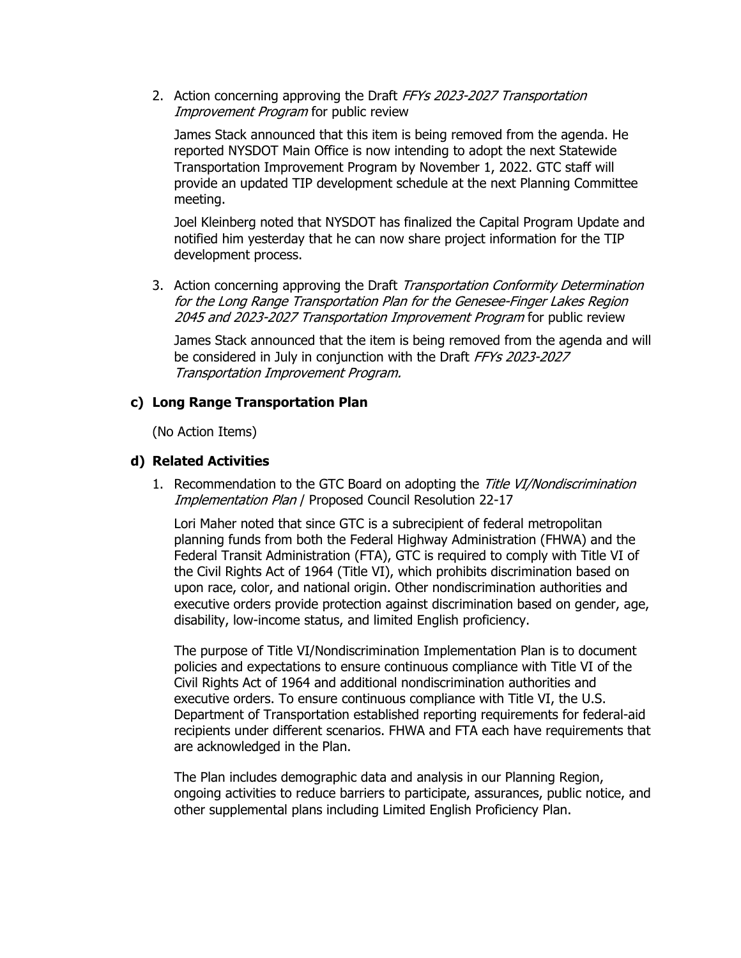2. Action concerning approving the Draft FFYs 2023-2027 Transportation Improvement Program for public review

James Stack announced that this item is being removed from the agenda. He reported NYSDOT Main Office is now intending to adopt the next Statewide Transportation Improvement Program by November 1, 2022. GTC staff will provide an updated TIP development schedule at the next Planning Committee meeting.

Joel Kleinberg noted that NYSDOT has finalized the Capital Program Update and notified him yesterday that he can now share project information for the TIP development process.

3. Action concerning approving the Draft Transportation Conformity Determination for the Long Range Transportation Plan for the Genesee-Finger Lakes Region 2045 and 2023-2027 Transportation Improvement Program for public review

James Stack announced that the item is being removed from the agenda and will be considered in July in conjunction with the Draft FFYs 2023-2027 Transportation Improvement Program.

#### **c) Long Range Transportation Plan**

(No Action Items)

#### **d) Related Activities**

1. Recommendation to the GTC Board on adopting the Title VI/Nondiscrimination Implementation Plan / Proposed Council Resolution 22-17

Lori Maher noted that since GTC is a subrecipient of federal metropolitan planning funds from both the Federal Highway Administration (FHWA) and the Federal Transit Administration (FTA), GTC is required to comply with Title VI of the Civil Rights Act of 1964 (Title VI), which prohibits discrimination based on upon race, color, and national origin. Other nondiscrimination authorities and executive orders provide protection against discrimination based on gender, age, disability, low-income status, and limited English proficiency.

The purpose of Title VI/Nondiscrimination Implementation Plan is to document policies and expectations to ensure continuous compliance with Title VI of the Civil Rights Act of 1964 and additional nondiscrimination authorities and executive orders. To ensure continuous compliance with Title VI, the U.S. Department of Transportation established reporting requirements for federal-aid recipients under different scenarios. FHWA and FTA each have requirements that are acknowledged in the Plan.

The Plan includes demographic data and analysis in our Planning Region, ongoing activities to reduce barriers to participate, assurances, public notice, and other supplemental plans including Limited English Proficiency Plan.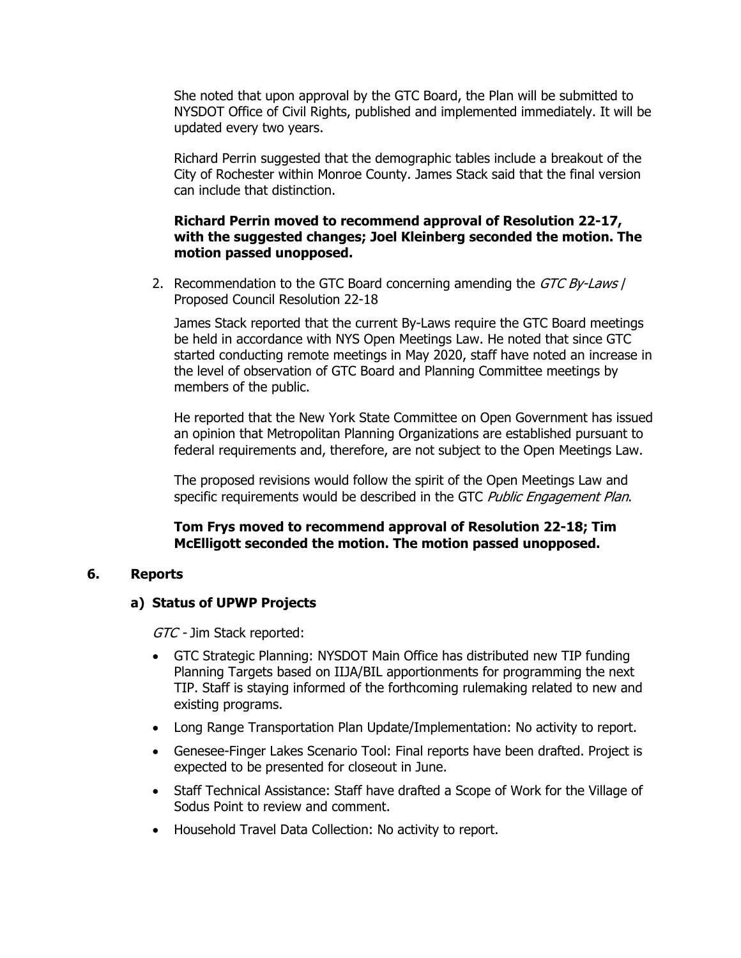She noted that upon approval by the GTC Board, the Plan will be submitted to NYSDOT Office of Civil Rights, published and implemented immediately. It will be updated every two years.

Richard Perrin suggested that the demographic tables include a breakout of the City of Rochester within Monroe County. James Stack said that the final version can include that distinction.

### **Richard Perrin moved to recommend approval of Resolution 22-17, with the suggested changes; Joel Kleinberg seconded the motion. The motion passed unopposed.**

2. Recommendation to the GTC Board concerning amending the GTC By-Laws / Proposed Council Resolution 22-18

James Stack reported that the current By-Laws require the GTC Board meetings be held in accordance with NYS Open Meetings Law. He noted that since GTC started conducting remote meetings in May 2020, staff have noted an increase in the level of observation of GTC Board and Planning Committee meetings by members of the public.

He reported that the New York State Committee on Open Government has issued an opinion that Metropolitan Planning Organizations are established pursuant to federal requirements and, therefore, are not subject to the Open Meetings Law.

The proposed revisions would follow the spirit of the Open Meetings Law and specific requirements would be described in the GTC Public Engagement Plan.

## **Tom Frys moved to recommend approval of Resolution 22-18; Tim McElligott seconded the motion. The motion passed unopposed.**

#### **6. Reports**

#### **a) Status of UPWP Projects**

GTC - Jim Stack reported:

- GTC Strategic Planning: NYSDOT Main Office has distributed new TIP funding Planning Targets based on IIJA/BIL apportionments for programming the next TIP. Staff is staying informed of the forthcoming rulemaking related to new and existing programs.
- Long Range Transportation Plan Update/Implementation: No activity to report.
- Genesee-Finger Lakes Scenario Tool: Final reports have been drafted. Project is expected to be presented for closeout in June.
- Staff Technical Assistance: Staff have drafted a Scope of Work for the Village of Sodus Point to review and comment.
- Household Travel Data Collection: No activity to report.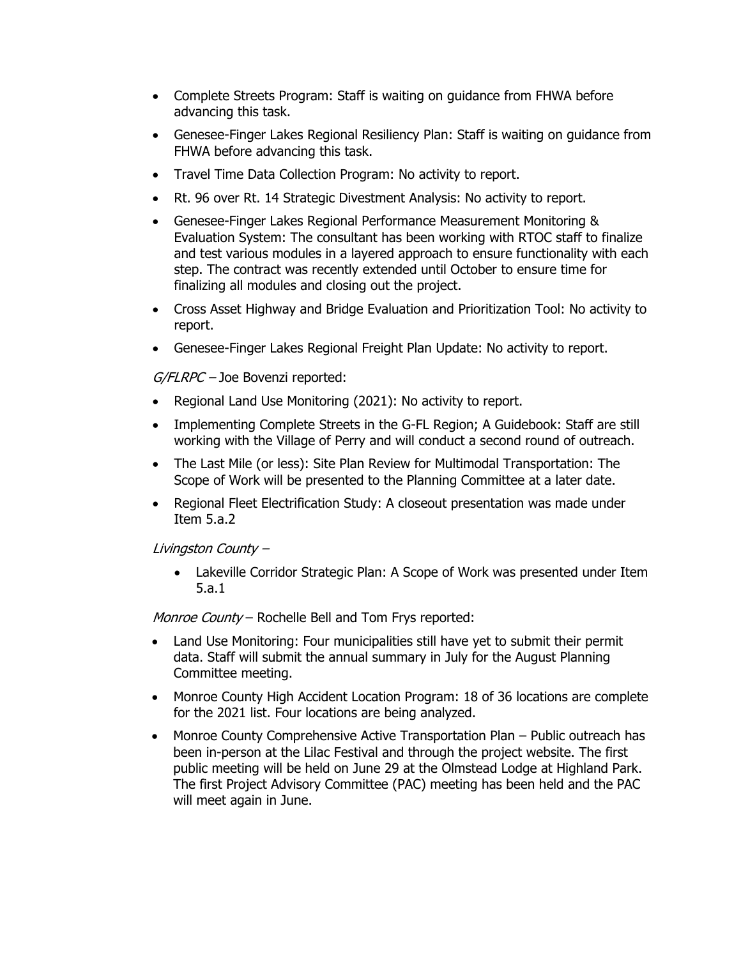- Complete Streets Program: Staff is waiting on guidance from FHWA before advancing this task.
- Genesee-Finger Lakes Regional Resiliency Plan: Staff is waiting on guidance from FHWA before advancing this task.
- Travel Time Data Collection Program: No activity to report.
- Rt. 96 over Rt. 14 Strategic Divestment Analysis: No activity to report.
- Genesee-Finger Lakes Regional Performance Measurement Monitoring & Evaluation System: The consultant has been working with RTOC staff to finalize and test various modules in a layered approach to ensure functionality with each step. The contract was recently extended until October to ensure time for finalizing all modules and closing out the project.
- Cross Asset Highway and Bridge Evaluation and Prioritization Tool: No activity to report.
- Genesee-Finger Lakes Regional Freight Plan Update: No activity to report.

 $G/FLRPC -$  Joe Bovenzi reported:

- Regional Land Use Monitoring (2021): No activity to report.
- Implementing Complete Streets in the G-FL Region; A Guidebook: Staff are still working with the Village of Perry and will conduct a second round of outreach.
- The Last Mile (or less): Site Plan Review for Multimodal Transportation: The Scope of Work will be presented to the Planning Committee at a later date.
- Regional Fleet Electrification Study: A closeout presentation was made under Item 5.a.2

Livingston County –

 Lakeville Corridor Strategic Plan: A Scope of Work was presented under Item 5.a.1

Monroe County - Rochelle Bell and Tom Frys reported:

- Land Use Monitoring: Four municipalities still have yet to submit their permit data. Staff will submit the annual summary in July for the August Planning Committee meeting.
- Monroe County High Accident Location Program: 18 of 36 locations are complete for the 2021 list. Four locations are being analyzed.
- Monroe County Comprehensive Active Transportation Plan Public outreach has been in-person at the Lilac Festival and through the project website. The first public meeting will be held on June 29 at the Olmstead Lodge at Highland Park. The first Project Advisory Committee (PAC) meeting has been held and the PAC will meet again in June.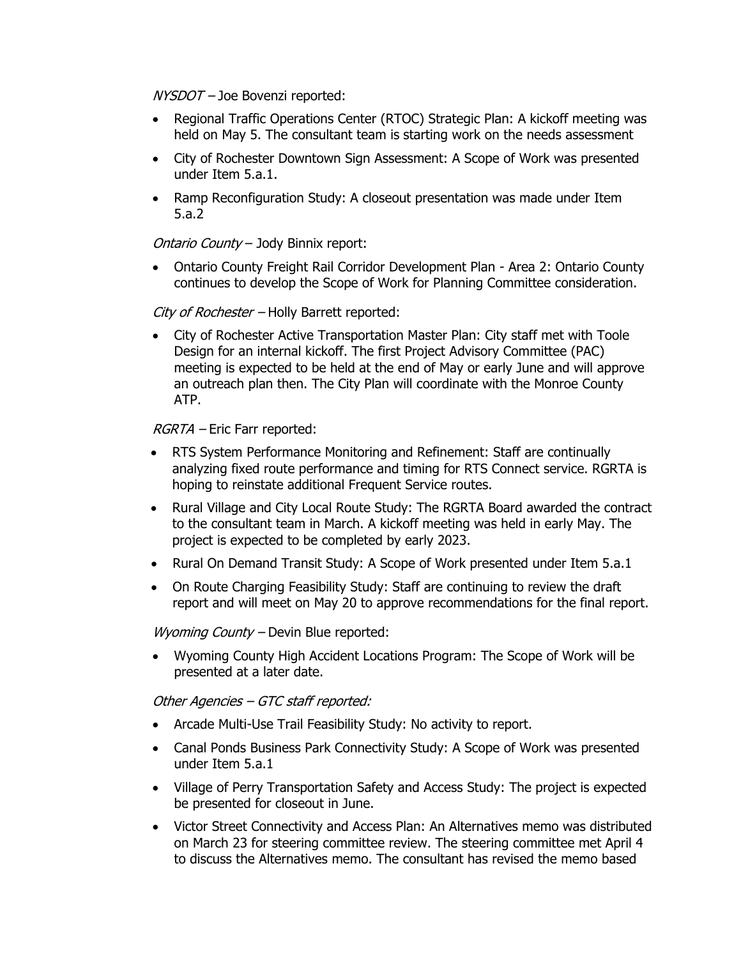NYSDOT – Joe Bovenzi reported:

- Regional Traffic Operations Center (RTOC) Strategic Plan: A kickoff meeting was held on May 5. The consultant team is starting work on the needs assessment
- City of Rochester Downtown Sign Assessment: A Scope of Work was presented under Item 5.a.1.
- Ramp Reconfiguration Study: A closeout presentation was made under Item 5.a.2

Ontario County - Jody Binnix report:

 Ontario County Freight Rail Corridor Development Plan - Area 2: Ontario County continues to develop the Scope of Work for Planning Committee consideration.

City of Rochester - Holly Barrett reported:

 City of Rochester Active Transportation Master Plan: City staff met with Toole Design for an internal kickoff. The first Project Advisory Committee (PAC) meeting is expected to be held at the end of May or early June and will approve an outreach plan then. The City Plan will coordinate with the Monroe County ATP.

RGRTA – Eric Farr reported:

- RTS System Performance Monitoring and Refinement: Staff are continually analyzing fixed route performance and timing for RTS Connect service. RGRTA is hoping to reinstate additional Frequent Service routes.
- Rural Village and City Local Route Study: The RGRTA Board awarded the contract to the consultant team in March. A kickoff meeting was held in early May. The project is expected to be completed by early 2023.
- Rural On Demand Transit Study: A Scope of Work presented under Item 5.a.1
- On Route Charging Feasibility Study: Staff are continuing to review the draft report and will meet on May 20 to approve recommendations for the final report.

Wyoming County - Devin Blue reported:

 Wyoming County High Accident Locations Program: The Scope of Work will be presented at a later date.

Other Agencies – GTC staff reported:

- Arcade Multi-Use Trail Feasibility Study: No activity to report.
- Canal Ponds Business Park Connectivity Study: A Scope of Work was presented under Item 5.a.1
- Village of Perry Transportation Safety and Access Study: The project is expected be presented for closeout in June.
- Victor Street Connectivity and Access Plan: An Alternatives memo was distributed on March 23 for steering committee review. The steering committee met April 4 to discuss the Alternatives memo. The consultant has revised the memo based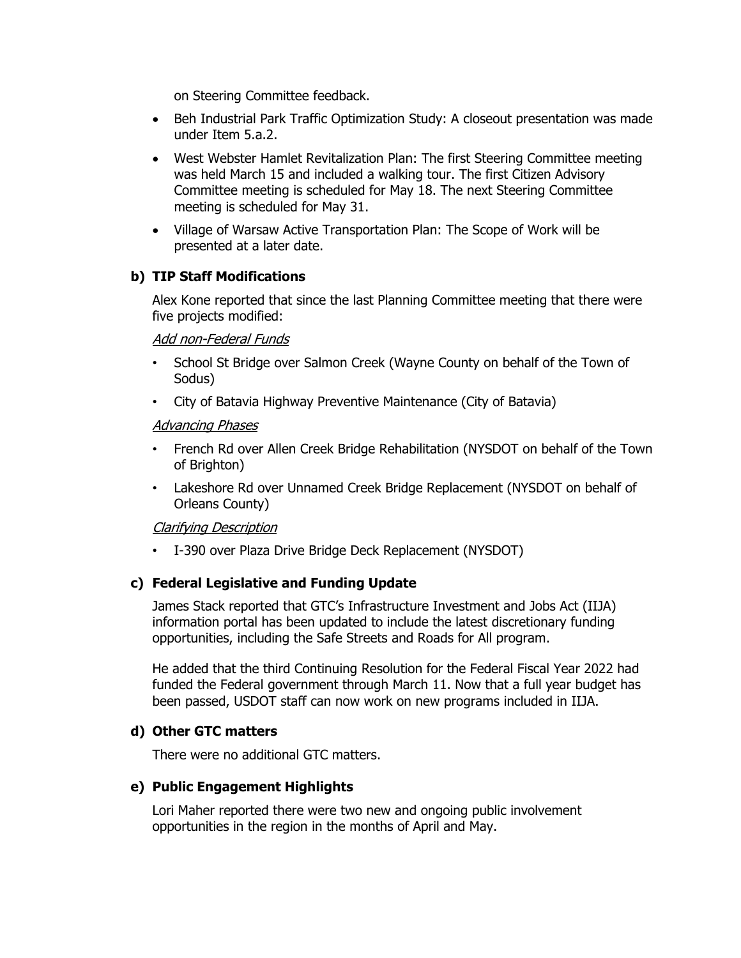on Steering Committee feedback.

- Beh Industrial Park Traffic Optimization Study: A closeout presentation was made under Item 5.a.2.
- West Webster Hamlet Revitalization Plan: The first Steering Committee meeting was held March 15 and included a walking tour. The first Citizen Advisory Committee meeting is scheduled for May 18. The next Steering Committee meeting is scheduled for May 31.
- Village of Warsaw Active Transportation Plan: The Scope of Work will be presented at a later date.

#### **b) TIP Staff Modifications**

Alex Kone reported that since the last Planning Committee meeting that there were five projects modified:

Add non-Federal Funds

- School St Bridge over Salmon Creek (Wayne County on behalf of the Town of Sodus)
- City of Batavia Highway Preventive Maintenance (City of Batavia)

#### Advancing Phases

- French Rd over Allen Creek Bridge Rehabilitation (NYSDOT on behalf of the Town of Brighton)
- Lakeshore Rd over Unnamed Creek Bridge Replacement (NYSDOT on behalf of Orleans County)

#### Clarifying Description

• I-390 over Plaza Drive Bridge Deck Replacement (NYSDOT)

#### **c) Federal Legislative and Funding Update**

James Stack reported that GTC's Infrastructure Investment and Jobs Act (IIJA) information portal has been updated to include the latest discretionary funding opportunities, including the Safe Streets and Roads for All program.

He added that the third Continuing Resolution for the Federal Fiscal Year 2022 had funded the Federal government through March 11. Now that a full year budget has been passed, USDOT staff can now work on new programs included in IIJA.

#### **d) Other GTC matters**

There were no additional GTC matters.

#### **e) Public Engagement Highlights**

Lori Maher reported there were two new and ongoing public involvement opportunities in the region in the months of April and May.